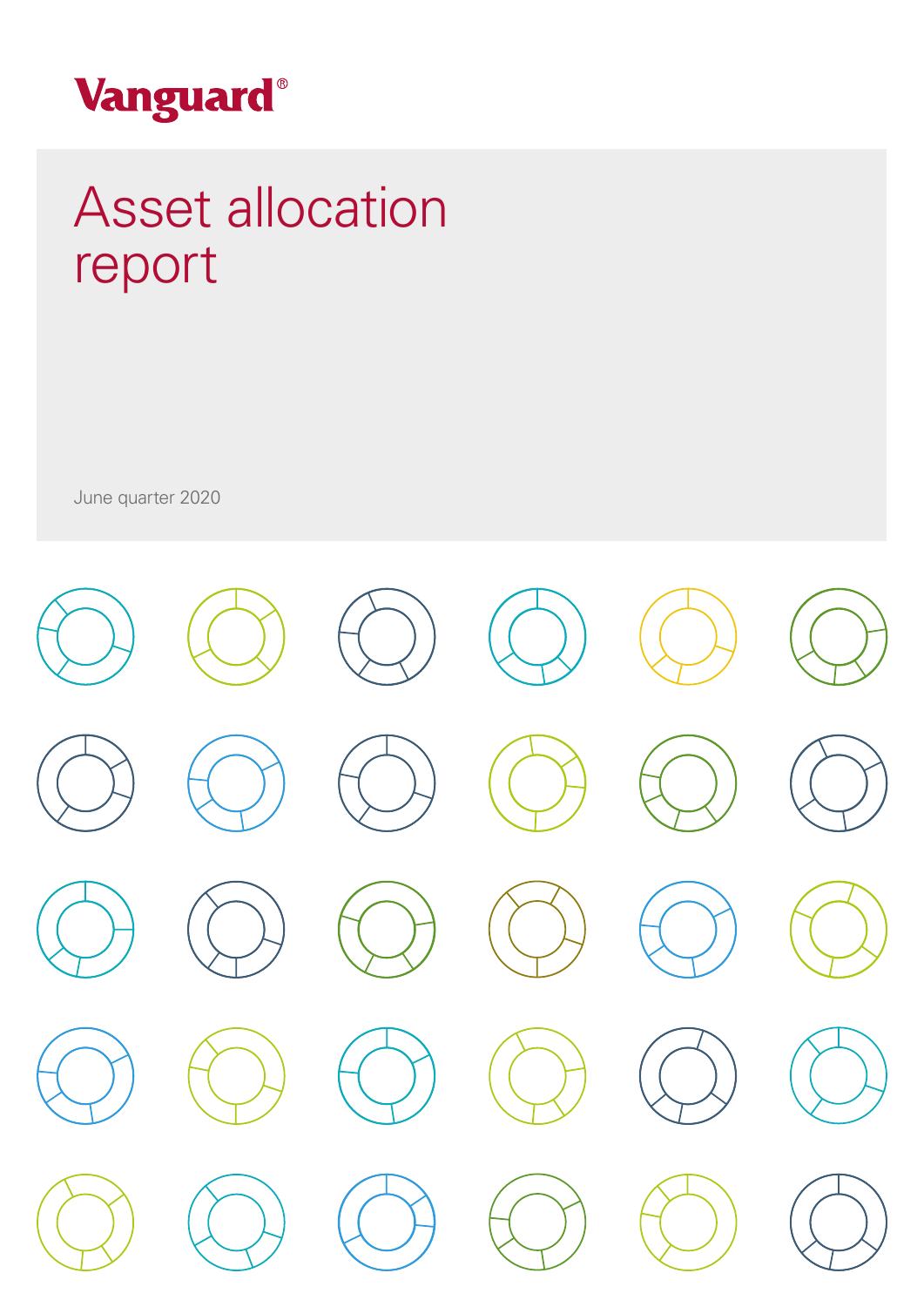

## Asset allocation report Asset allocation

June quarter 2020

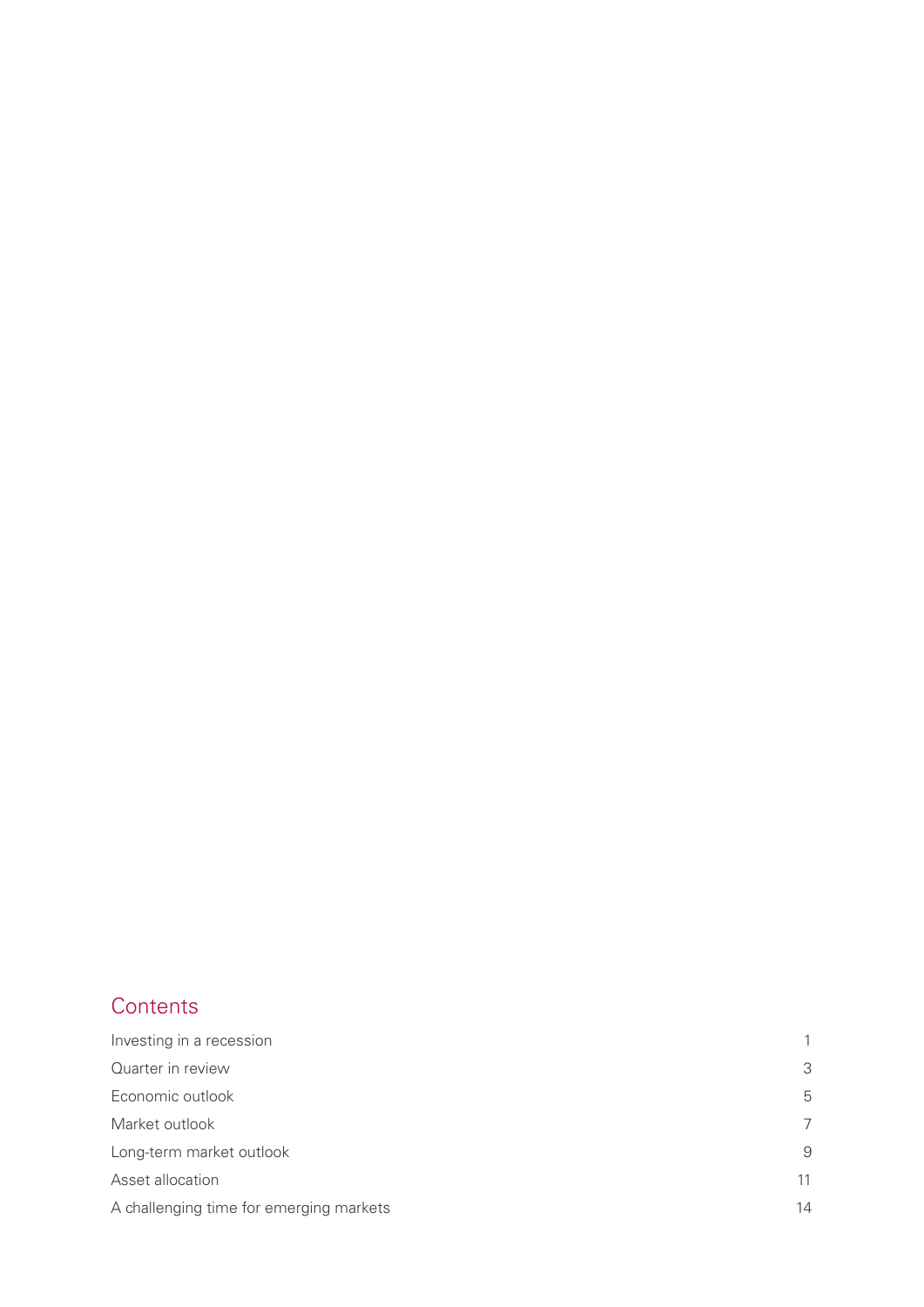## **Contents**

| Investing in a recession                | 1  |
|-----------------------------------------|----|
| Quarter in review                       | 3  |
| Economic outlook                        | 5  |
| Market outlook                          | 7  |
| Long-term market outlook                | 9  |
| Asset allocation                        | 11 |
| A challenging time for emerging markets | 14 |
|                                         |    |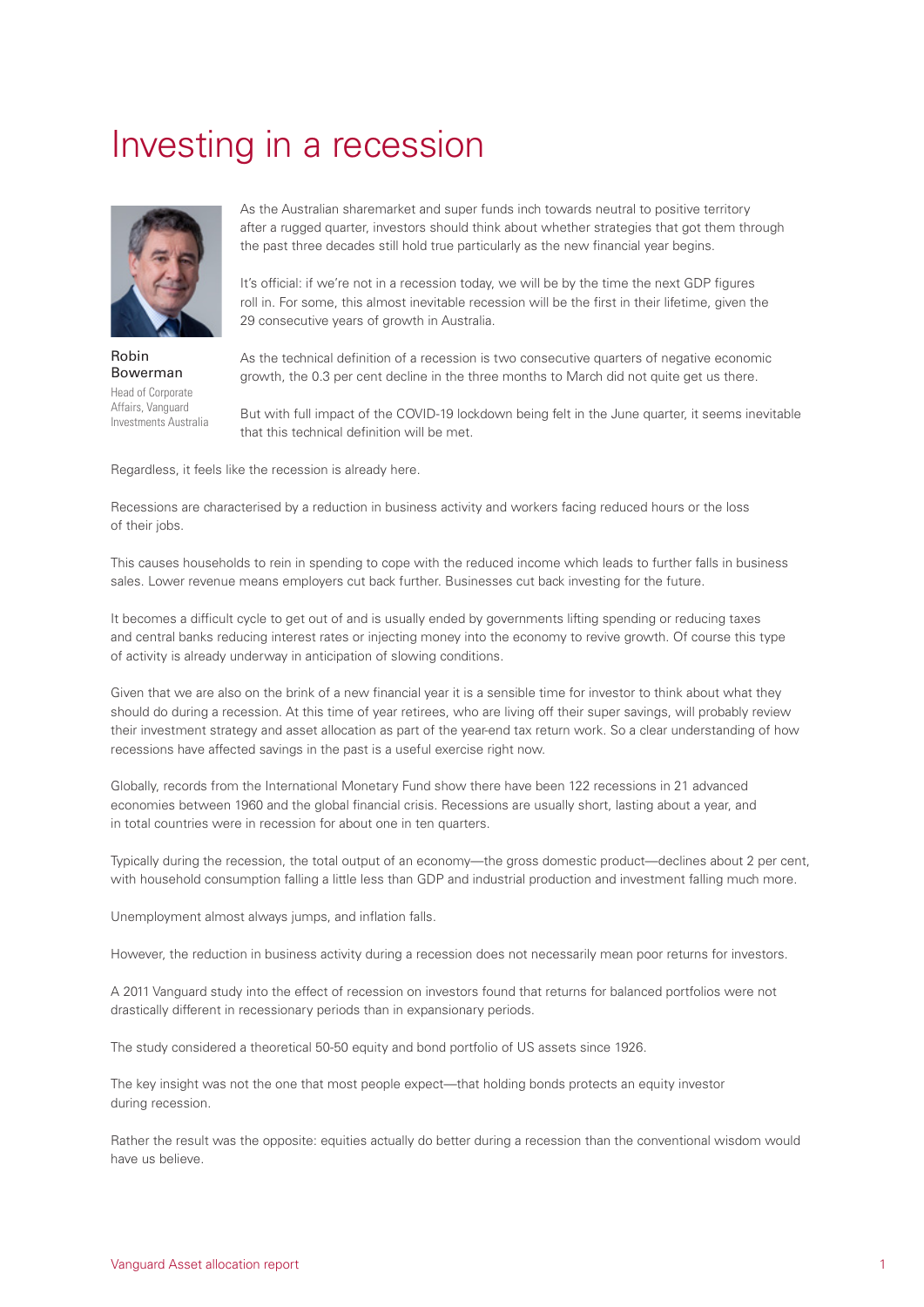## <span id="page-2-0"></span>Investing in a recession



Robin Bowerman Head of Corporate Affairs, Vanguard Investments Australia

As the Australian sharemarket and super funds inch towards neutral to positive territory after a rugged quarter, investors should think about whether strategies that got them through the past three decades still hold true particularly as the new financial year begins.

It's official: if we're not in a recession today, we will be by the time the next GDP figures roll in. For some, this almost inevitable recession will be the first in their lifetime, given the 29 consecutive years of growth in Australia.

As the technical definition of a recession is two consecutive quarters of negative economic growth, the 0.3 per cent decline in the three months to March did not quite get us there.

But with full impact of the COVID-19 lockdown being felt in the June quarter, it seems inevitable that this technical definition will be met.

Regardless, it feels like the recession is already here.

Recessions are characterised by a reduction in business activity and workers facing reduced hours or the loss of their jobs.

This causes households to rein in spending to cope with the reduced income which leads to further falls in business sales. Lower revenue means employers cut back further. Businesses cut back investing for the future.

It becomes a difficult cycle to get out of and is usually ended by governments lifting spending or reducing taxes and central banks reducing interest rates or injecting money into the economy to revive growth. Of course this type of activity is already underway in anticipation of slowing conditions.

Given that we are also on the brink of a new financial year it is a sensible time for investor to think about what they should do during a recession. At this time of year retirees, who are living off their super savings, will probably review their investment strategy and asset allocation as part of the year-end tax return work. So a clear understanding of how recessions have affected savings in the past is a useful exercise right now.

Globally, records from the International Monetary Fund show there have been 122 recessions in 21 advanced economies between 1960 and the global financial crisis. Recessions are usually short, lasting about a year, and in total countries were in recession for about one in ten quarters.

Typically during the recession, the total output of an economy—the gross domestic product—declines about 2 per cent, with household consumption falling a little less than GDP and industrial production and investment falling much more.

Unemployment almost always jumps, and inflation falls.

However, the reduction in business activity during a recession does not necessarily mean poor returns for investors.

A 2011 Vanguard study into the effect of recession on investors found that returns for balanced portfolios were not drastically different in recessionary periods than in expansionary periods.

The study considered a theoretical 50-50 equity and bond portfolio of US assets since 1926.

The key insight was not the one that most people expect—that holding bonds protects an equity investor during recession.

Rather the result was the opposite: equities actually do better during a recession than the conventional wisdom would have us believe.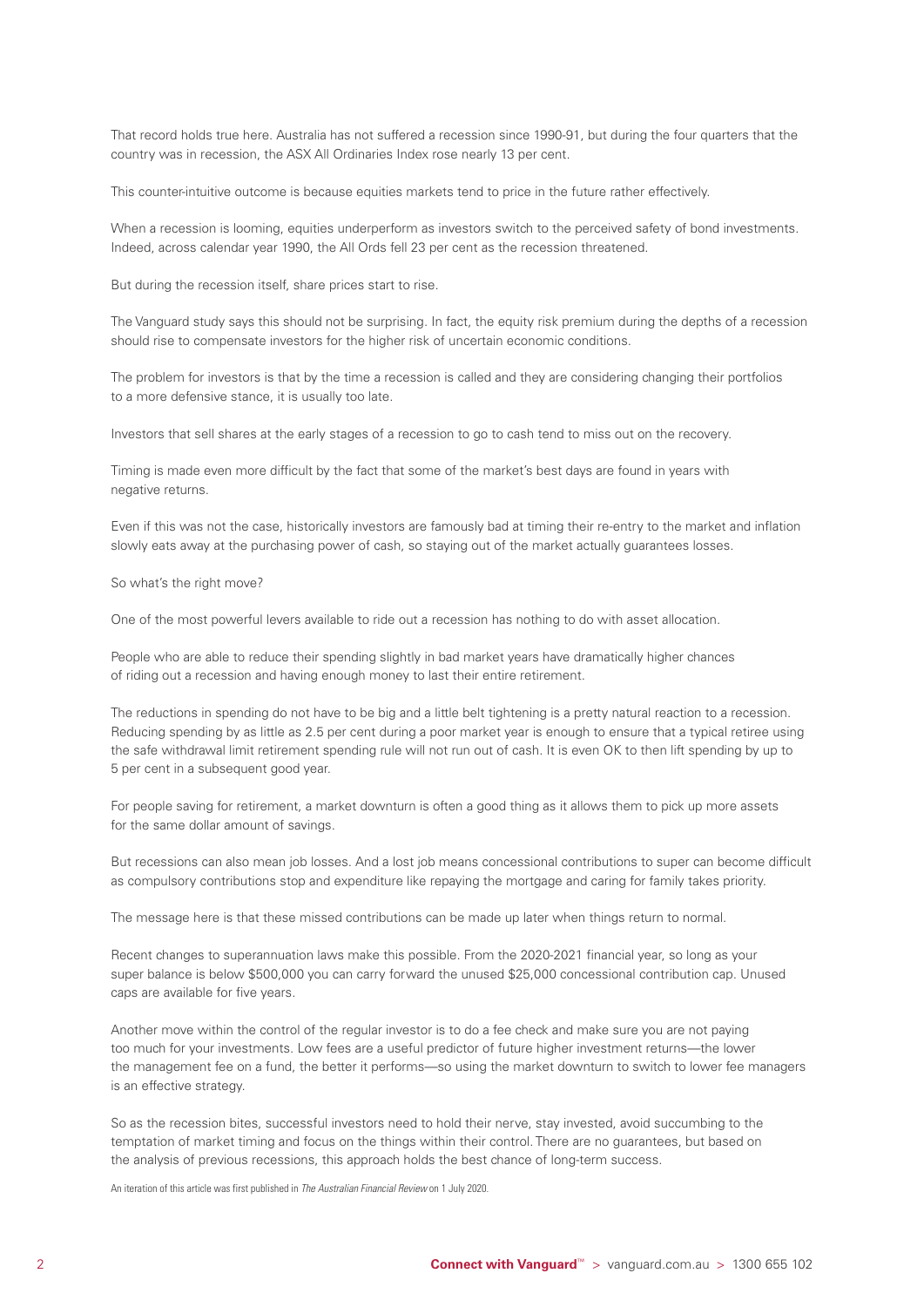That record holds true here. Australia has not suffered a recession since 1990-91, but during the four quarters that the country was in recession, the ASX All Ordinaries Index rose nearly 13 per cent.

This counter-intuitive outcome is because equities markets tend to price in the future rather effectively.

When a recession is looming, equities underperform as investors switch to the perceived safety of bond investments. Indeed, across calendar year 1990, the All Ords fell 23 per cent as the recession threatened.

But during the recession itself, share prices start to rise.

The Vanguard study says this should not be surprising. In fact, the equity risk premium during the depths of a recession should rise to compensate investors for the higher risk of uncertain economic conditions.

The problem for investors is that by the time a recession is called and they are considering changing their portfolios to a more defensive stance, it is usually too late.

Investors that sell shares at the early stages of a recession to go to cash tend to miss out on the recovery.

Timing is made even more difficult by the fact that some of the market's best days are found in years with negative returns.

Even if this was not the case, historically investors are famously bad at timing their re-entry to the market and inflation slowly eats away at the purchasing power of cash, so staying out of the market actually guarantees losses.

So what's the right move?

One of the most powerful levers available to ride out a recession has nothing to do with asset allocation.

People who are able to reduce their spending slightly in bad market years have dramatically higher chances of riding out a recession and having enough money to last their entire retirement.

The reductions in spending do not have to be big and a little belt tightening is a pretty natural reaction to a recession. Reducing spending by as little as 2.5 per cent during a poor market year is enough to ensure that a typical retiree using the safe withdrawal limit retirement spending rule will not run out of cash. It is even OK to then lift spending by up to 5 per cent in a subsequent good year.

For people saving for retirement, a market downturn is often a good thing as it allows them to pick up more assets for the same dollar amount of savings.

But recessions can also mean job losses. And a lost job means concessional contributions to super can become difficult as compulsory contributions stop and expenditure like repaying the mortgage and caring for family takes priority.

The message here is that these missed contributions can be made up later when things return to normal.

Recent changes to superannuation laws make this possible. From the 2020-2021 financial year, so long as your super balance is below \$500,000 you can carry forward the unused \$25,000 concessional contribution cap. Unused caps are available for five years.

Another move within the control of the regular investor is to do a fee check and make sure you are not paying too much for your investments. Low fees are a useful predictor of future higher investment returns—the lower the management fee on a fund, the better it performs—so using the market downturn to switch to lower fee managers is an effective strategy.

So as the recession bites, successful investors need to hold their nerve, stay invested, avoid succumbing to the temptation of market timing and focus on the things within their control. There are no guarantees, but based on the analysis of previous recessions, this approach holds the best chance of long-term success.

An iteration of this article was first published in *The Australian Financial Review* on 1 July 2020.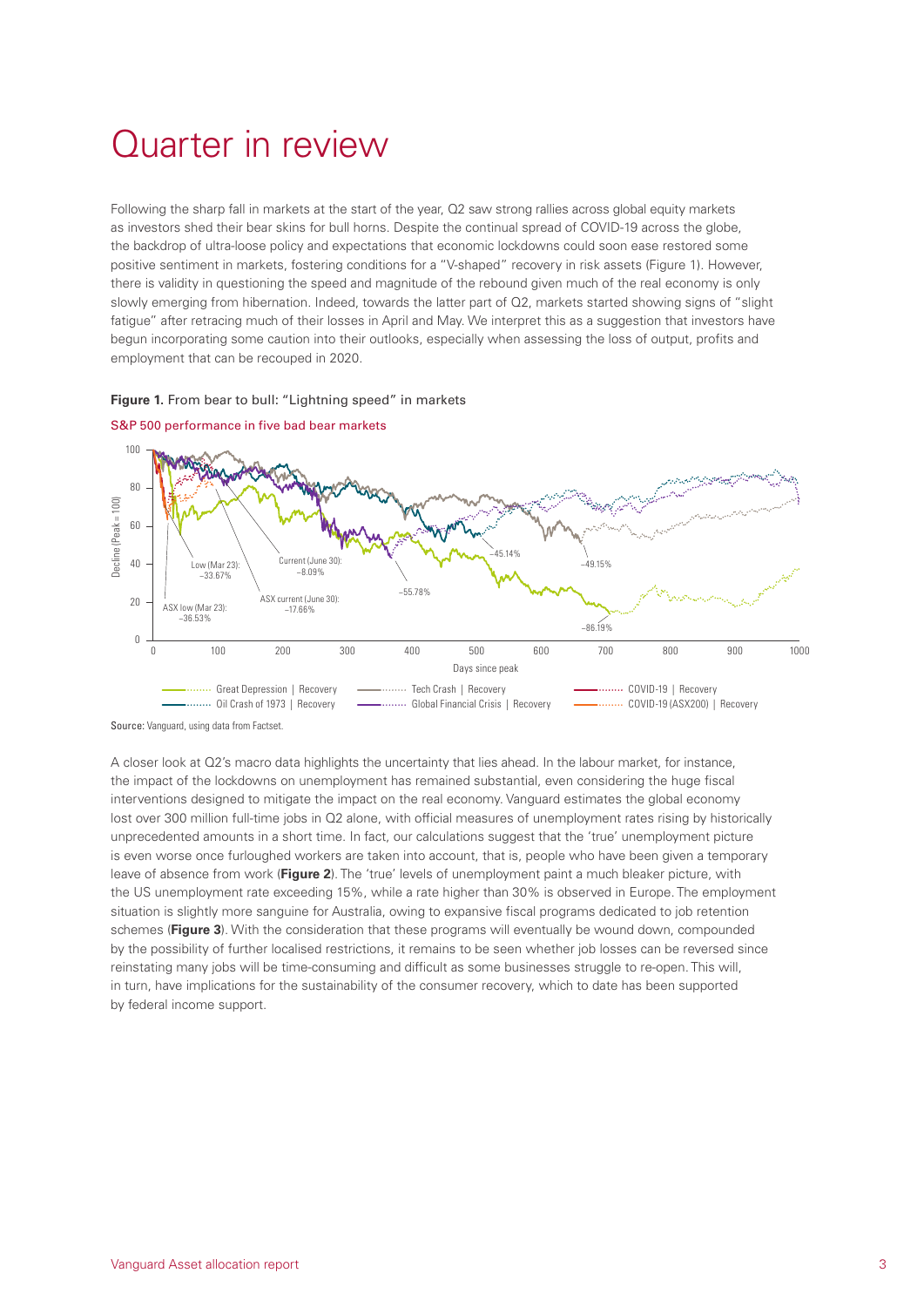## <span id="page-4-0"></span>Quarter in review

Following the sharp fall in markets at the start of the year, Q2 saw strong rallies across global equity markets as investors shed their bear skins for bull horns. Despite the continual spread of COVID-19 across the globe, the backdrop of ultra-loose policy and expectations that economic lockdowns could soon ease restored some positive sentiment in markets, fostering conditions for a "V-shaped" recovery in risk assets (Figure 1). However, there is validity in questioning the speed and magnitude of the rebound given much of the real economy is only slowly emerging from hibernation. Indeed, towards the latter part of Q2, markets started showing signs of "slight fatigue" after retracing much of their losses in April and May. We interpret this as a suggestion that investors have begun incorporating some caution into their outlooks, especially when assessing the loss of output, profits and employment that can be recouped in 2020.

#### **Figure 1.** From bear to bull: "Lightning speed" in markets





A closer look at Q2's macro data highlights the uncertainty that lies ahead. In the labour market, for instance, the impact of the lockdowns on unemployment has remained substantial, even considering the huge fiscal interventions designed to mitigate the impact on the real economy. Vanguard estimates the global economy lost over 300 million full-time jobs in Q2 alone, with official measures of unemployment rates rising by historically unprecedented amounts in a short time. In fact, our calculations suggest that the 'true' unemployment picture is even worse once furloughed workers are taken into account, that is, people who have been given a temporary leave of absence from work (**Figure 2**). The 'true' levels of unemployment paint a much bleaker picture, with the US unemployment rate exceeding 15%, while a rate higher than 30% is observed in Europe. The employment situation is slightly more sanguine for Australia, owing to expansive fiscal programs dedicated to job retention schemes (Figure 3). With the consideration that these programs will eventually be wound down, compounded by the possibility of further localised restrictions, it remains to be seen whether job losses can be reversed since reinstating many jobs will be time-consuming and difficult as some businesses struggle to re-open. This will, in turn, have implications for the sustainability of the consumer recovery, which to date has been supported by federal income support.

Source: Vanguard, using data from Factset.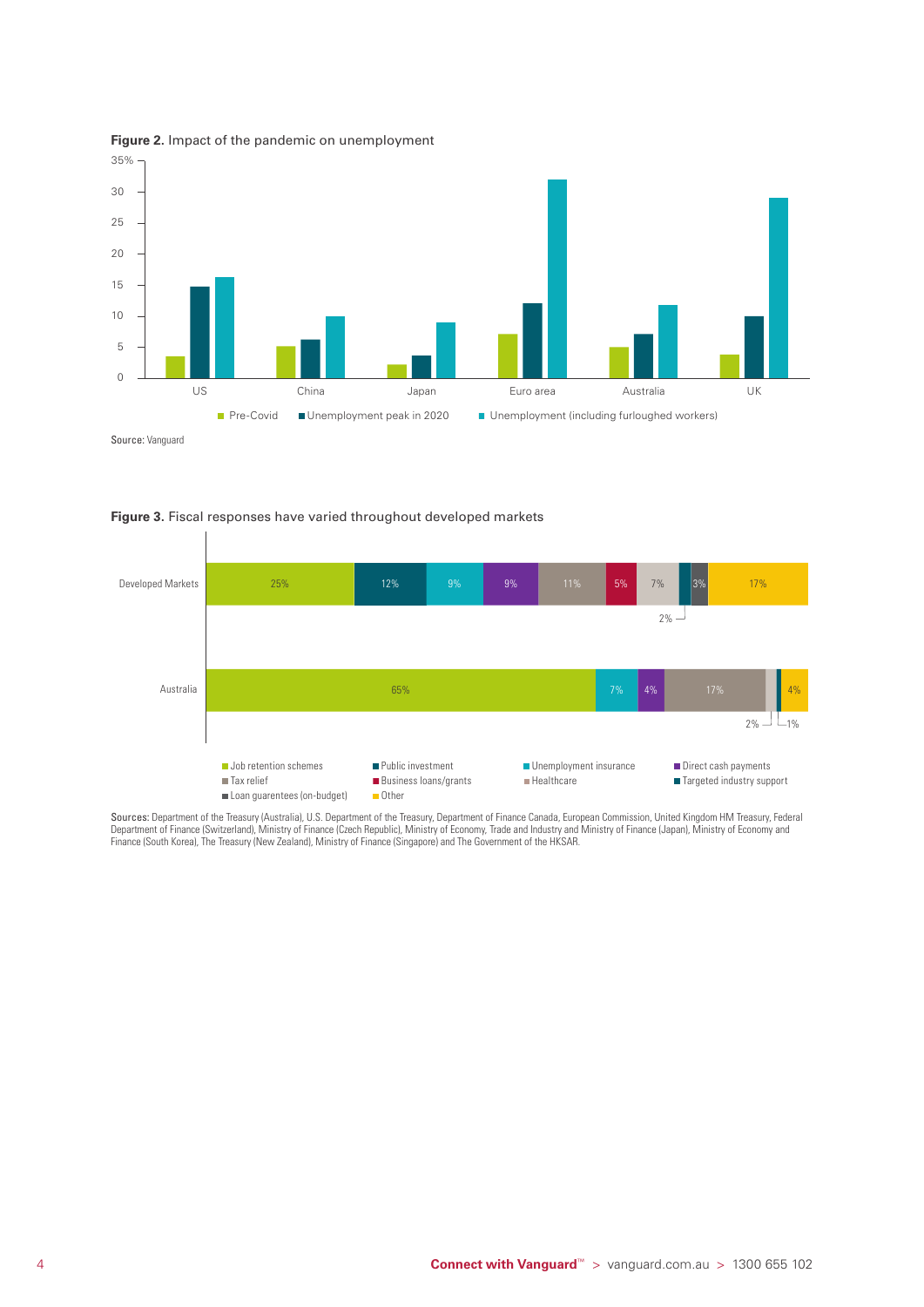



Source: Vanguard





Sources: Department of the Treasury (Australia), U.S. Department of the Treasury, Department of Finance Canada, European Commission, United Kingdom HM Treasury, Federal Department of Finance (Switzerland), Ministry of Finance (Czech Republic), Ministry of Economy, Trade and Industry and Ministry of Finance (Japan), Ministry of Economy and Finance (South Korea), The Treasury (New Zealand), Ministry of Finance (Singapore) and The Government of the HKSAR.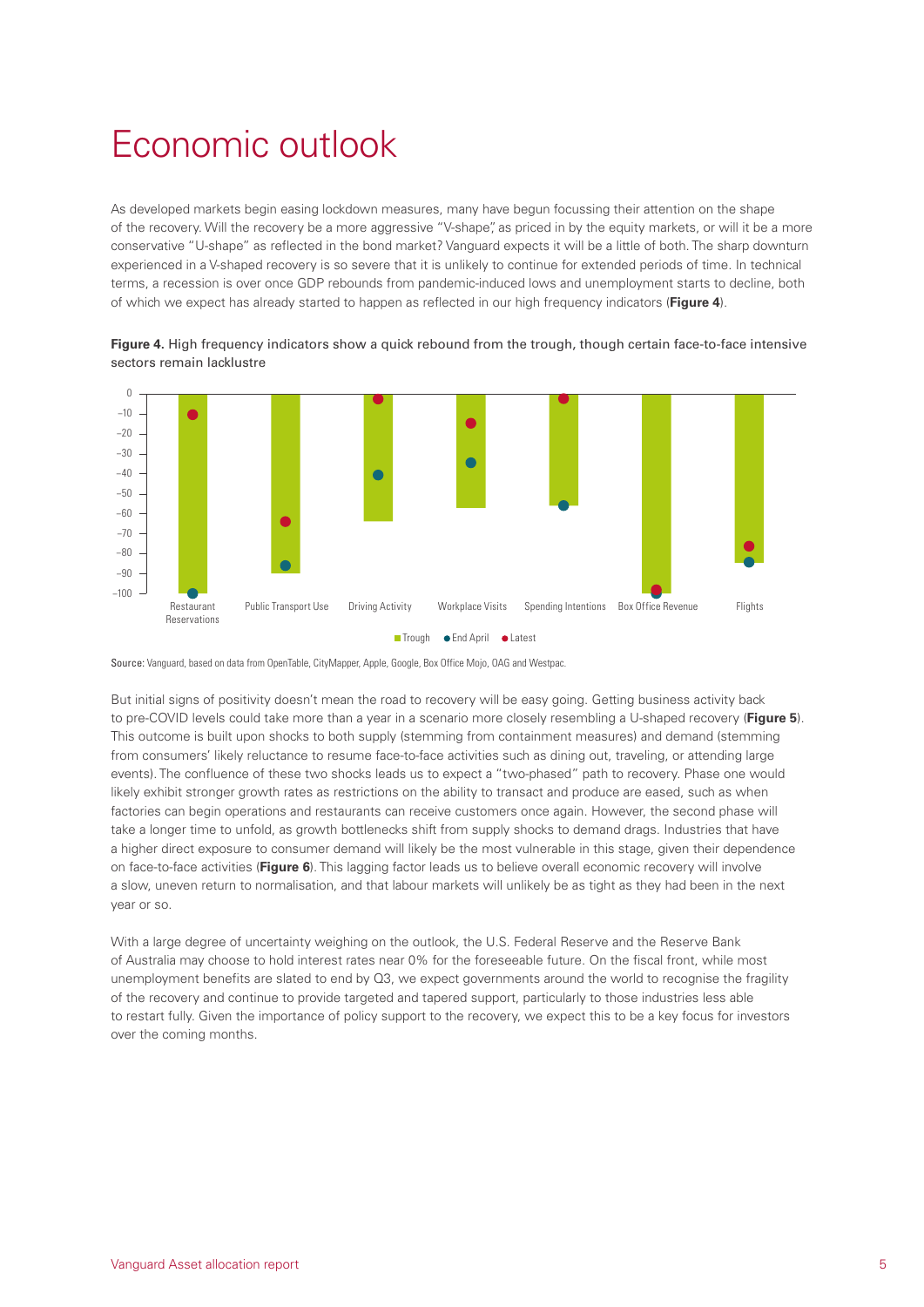## <span id="page-6-0"></span>Economic outlook

As developed markets begin easing lockdown measures, many have begun focussing their attention on the shape of the recovery. Will the recovery be a more aggressive "V-shape", as priced in by the equity markets, or will it be a more conservative "U-shape" as reflected in the bond market? Vanguard expects it will be a little of both. The sharp downturn experienced in a V-shaped recovery is so severe that it is unlikely to continue for extended periods of time. In technical terms, a recession is over once GDP rebounds from pandemic-induced lows and unemployment starts to decline, both of which we expect has already started to happen as reflected in our high frequency indicators (**Figure 4**).



**Figure 4.** High frequency indicators show a quick rebound from the trough, though certain face-to-face intensive sectors remain lacklustre

Source: Vanguard, based on data from OpenTable, CityMapper, Apple, Google, Box Office Mojo, OAG and Westpac.

But initial signs of positivity doesn't mean the road to recovery will be easy going. Getting business activity back to pre-COVID levels could take more than a year in a scenario more closely resembling a U-shaped recovery (**Figure 5**). This outcome is built upon shocks to both supply (stemming from containment measures) and demand (stemming from consumers' likely reluctance to resume face-to-face activities such as dining out, traveling, or attending large events). The confluence of these two shocks leads us to expect a "two-phased" path to recovery. Phase one would likely exhibit stronger growth rates as restrictions on the ability to transact and produce are eased, such as when factories can begin operations and restaurants can receive customers once again. However, the second phase will take a longer time to unfold, as growth bottlenecks shift from supply shocks to demand drags. Industries that have a higher direct exposure to consumer demand will likely be the most vulnerable in this stage, given their dependence on face-to-face activities (**Figure 6**). This lagging factor leads us to believe overall economic recovery will involve a slow, uneven return to normalisation, and that labour markets will unlikely be as tight as they had been in the next year or so.

With a large degree of uncertainty weighing on the outlook, the U.S. Federal Reserve and the Reserve Bank of Australia may choose to hold interest rates near 0% for the foreseeable future. On the fiscal front, while most unemployment benefits are slated to end by Q3, we expect governments around the world to recognise the fragility of the recovery and continue to provide targeted and tapered support, particularly to those industries less able to restart fully. Given the importance of policy support to the recovery, we expect this to be a key focus for investors over the coming months.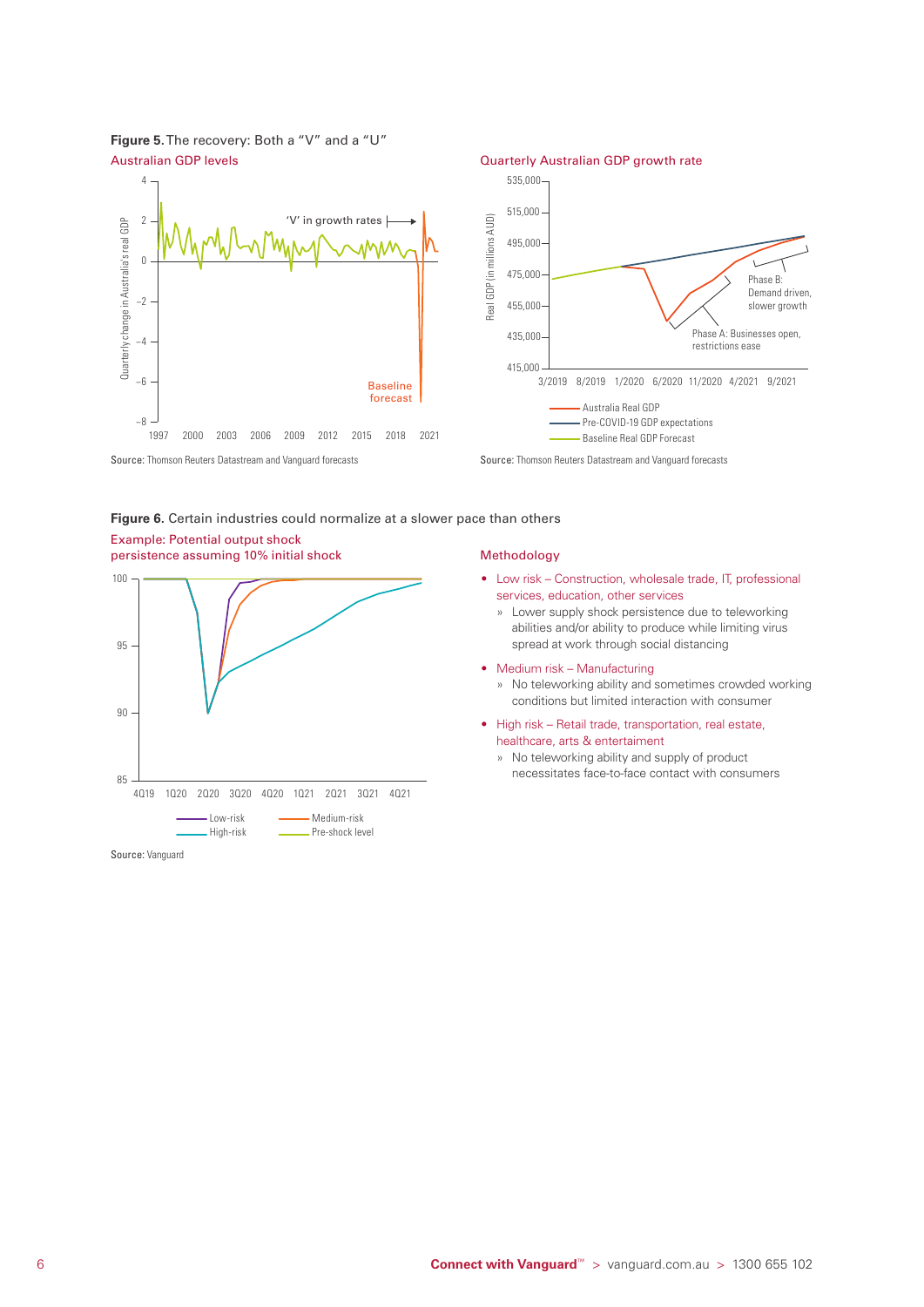





Source: Thomson Reuters Datastream and Vanguard forecasts Source: Thomson Reuters Datastream and Vanguard forecasts

#### **Figure 6.** Certain industries could normalize at a slower pace than others

#### Example: Potential output shock persistence assuming 10% initial shock Methodology



Source: Vanguard

- Low risk Construction, wholesale trade, IT, professional services, education, other services
	- » Lower supply shock persistence due to teleworking abilities and/or ability to produce while limiting virus spread at work through social distancing
- Medium risk Manufacturing
	- » No teleworking ability and sometimes crowded working conditions but limited interaction with consumer
- High risk Retail trade, transportation, real estate, healthcare, arts & entertaiment
	- » No teleworking ability and supply of product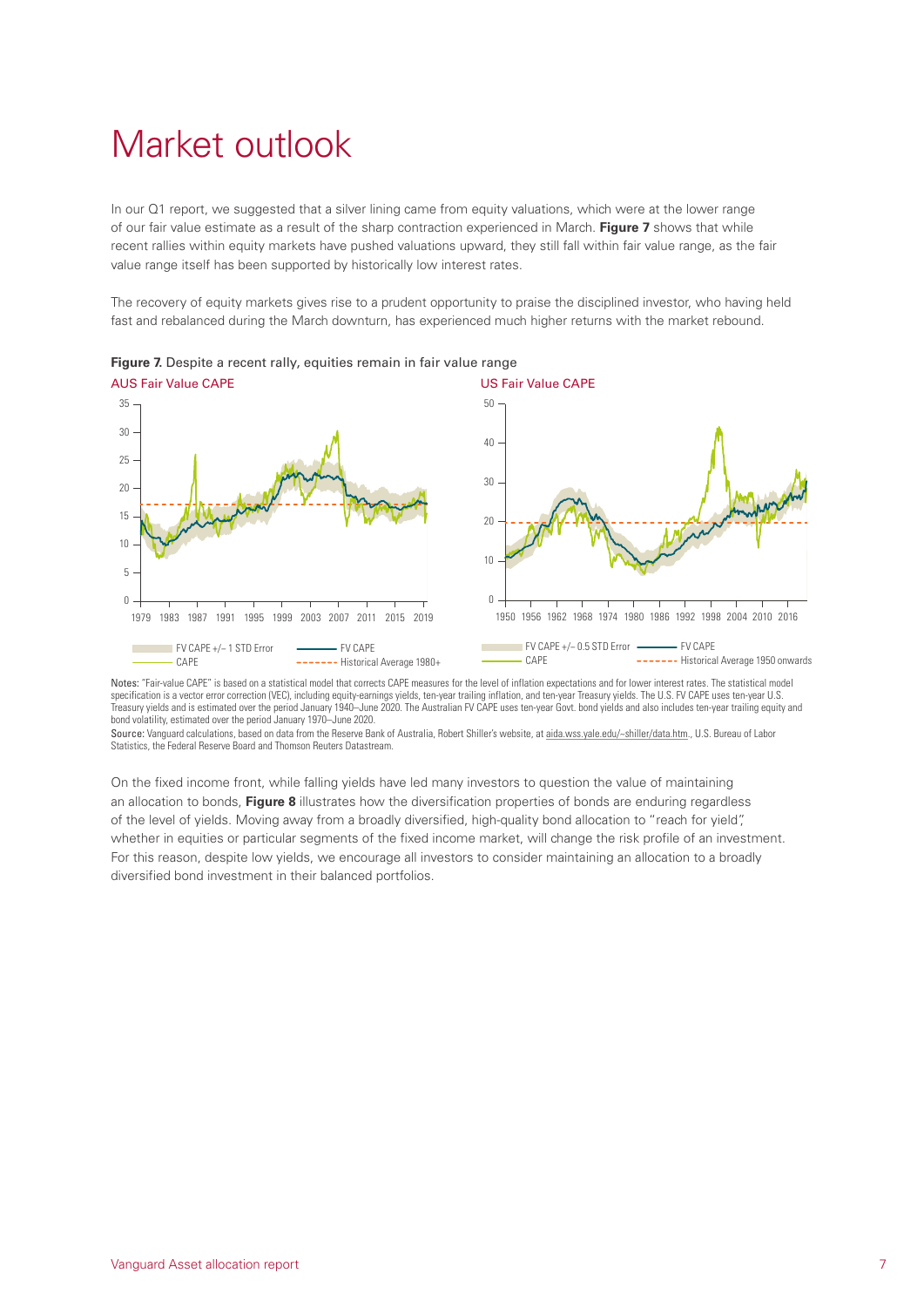## <span id="page-8-0"></span>Market outlook

In our Q1 report, we suggested that a silver lining came from equity valuations, which were at the lower range of our fair value estimate as a result of the sharp contraction experienced in March. **Figure 7** shows that while recent rallies within equity markets have pushed valuations upward, they still fall within fair value range, as the fair value range itself has been supported by historically low interest rates.

The recovery of equity markets gives rise to a prudent opportunity to praise the disciplined investor, who having held fast and rebalanced during the March downturn, has experienced much higher returns with the market rebound.



**Figure 7.** Despite a recent rally, equities remain in fair value range AUS Fair Value CAPE **No. 1999** US Fair Value CAPE

Notes: "Fair-value CAPE" is based on a statistical model that corrects CAPE measures for the level of inflation expectations and for lower interest rates. The statistical model specification is a vector error correction (VEC), including equity-earnings yields, ten-year trailing inflation, and ten-year Treasury yields. The U.S. FV CAPE uses ten-year U.S. Treasury yields and is estimated over the period January 1940–June 2020. The Australian FV CAPE uses ten-year Govt. bond yields and also includes ten-year trailing equity and bond volatility, estimated over the period January 1970–June 2020.

Source: Vanguard calculations, based on data from the Reserve Bank of Australia, Robert Shiller's website, at [aida.wss.yale.edu/~shiller/data.htm](http://aida.wss.yale.edu/~shiller/data.htm)., U.S. Bureau of Labor Statistics, the Federal Reserve Board and Thomson Reuters Datastream.

On the fixed income front, while falling yields have led many investors to question the value of maintaining an allocation to bonds, **Figure 8** illustrates how the diversification properties of bonds are enduring regardless of the level of yields. Moving away from a broadly diversified, high-quality bond allocation to "reach for yield", whether in equities or particular segments of the fixed income market, will change the risk profile of an investment. For this reason, despite low yields, we encourage all investors to consider maintaining an allocation to a broadly diversified bond investment in their balanced portfolios.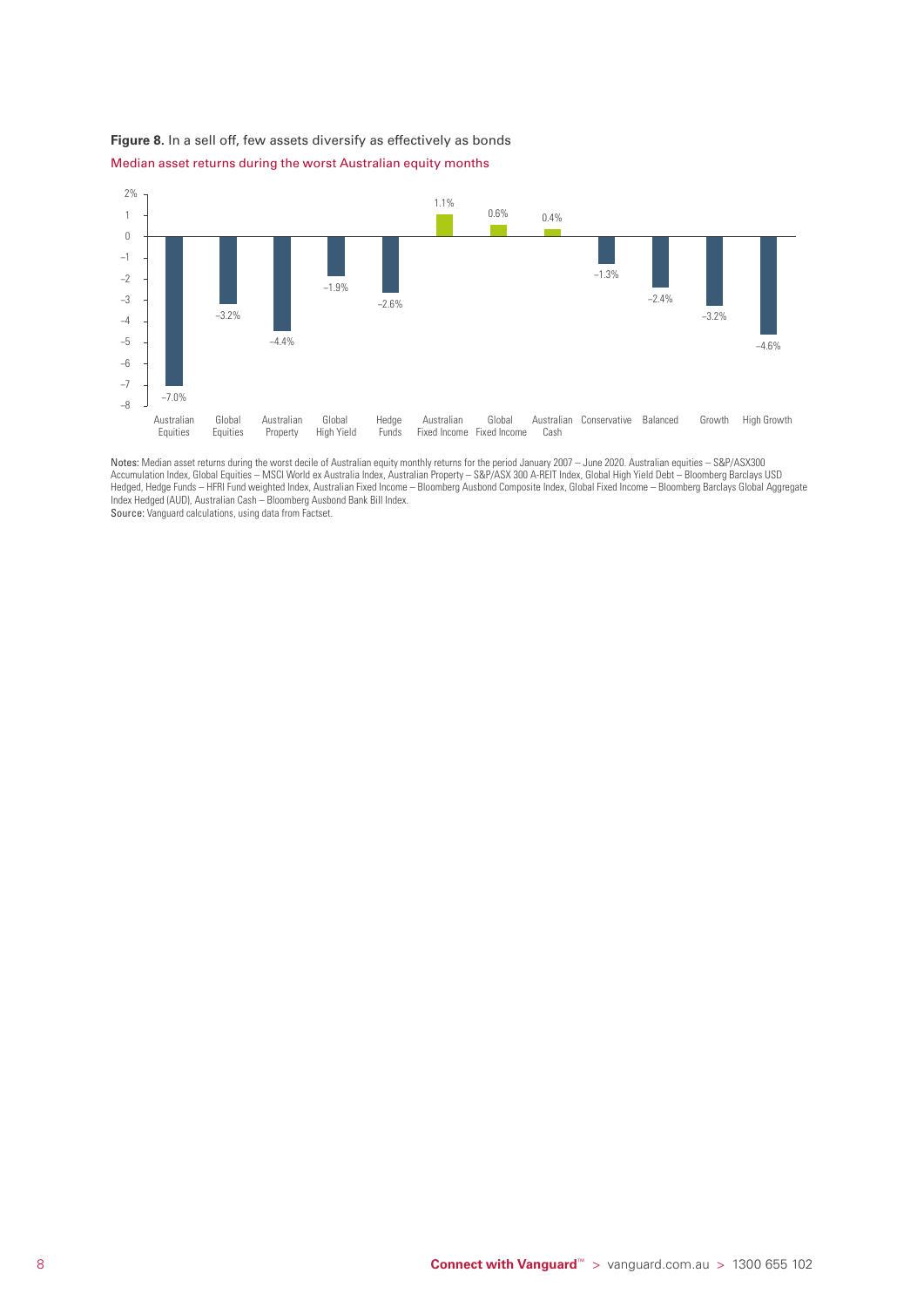



Notes: Median asset returns during the worst decile of Australian equity monthly returns for the period January 2007 – June 2020. Australian equities – S&P/ASX300 Accumulation Index, Global Equities – MSCI World ex Australia Index, Australian Property – S&P/ASX 300 A-REIT Index, Global High Yield Debt – Bloomberg Barclays USD Hedged, Hedge Funds – HFRI Fund weighted Index, Australian Fixed Income – Bloomberg Ausbond Composite Index, Global Fixed Income – Bloomberg Barclays Global Aggregate Index Hedged (AUD), Australian Cash – Bloomberg Ausbond Bank Bill Index. Source: Vanguard calculations, using data from Factset.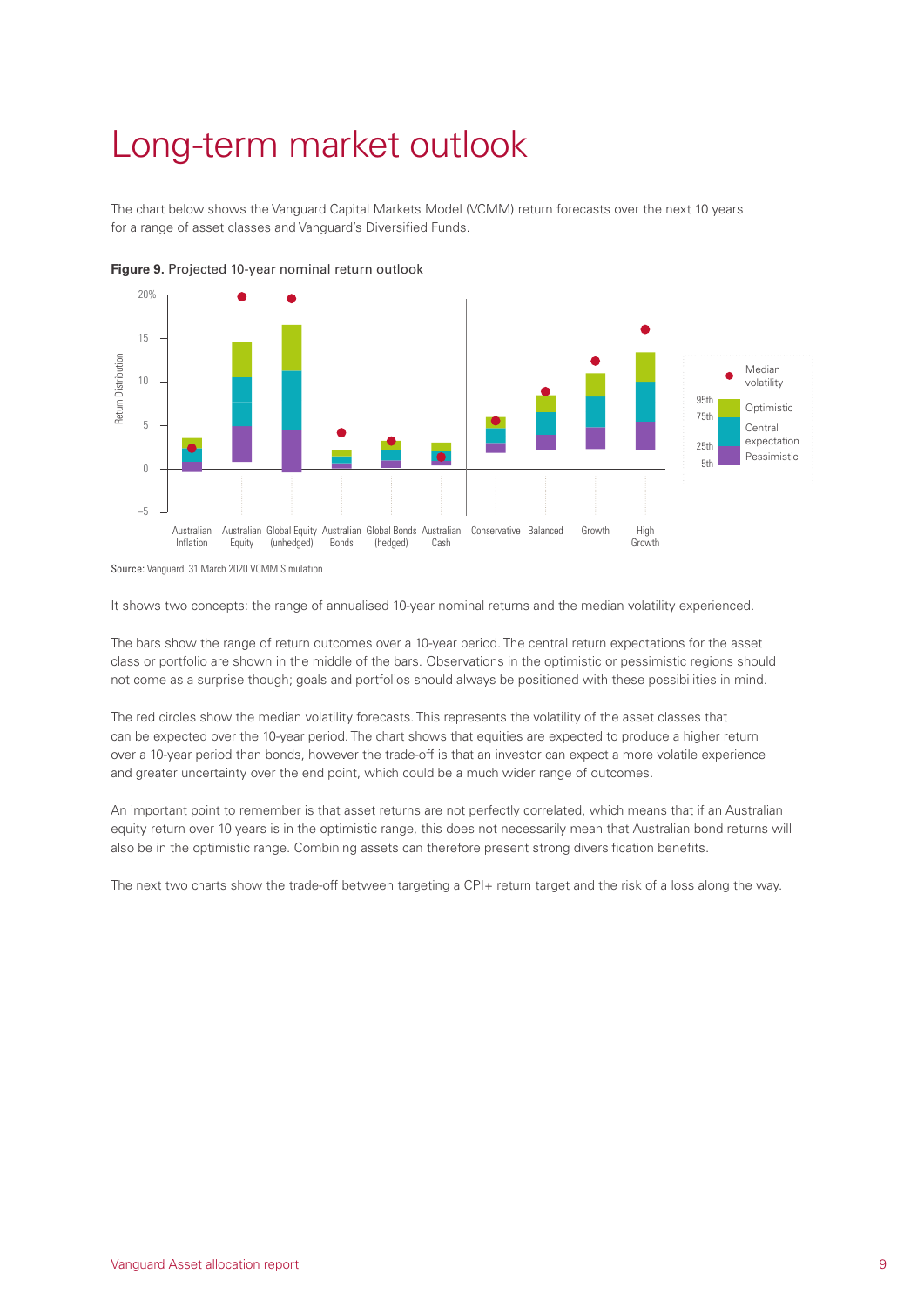## <span id="page-10-0"></span>Long-term market outlook

The chart below shows the Vanguard Capital Markets Model (VCMM) return forecasts over the next 10 years for a range of asset classes and Vanguard's Diversified Funds.





It shows two concepts: the range of annualised 10-year nominal returns and the median volatility experienced.

The bars show the range of return outcomes over a 10-year period. The central return expectations for the asset class or portfolio are shown in the middle of the bars. Observations in the optimistic or pessimistic regions should not come as a surprise though; goals and portfolios should always be positioned with these possibilities in mind.

The red circles show the median volatility forecasts. This represents the volatility of the asset classes that can be expected over the 10-year period. The chart shows that equities are expected to produce a higher return over a 10-year period than bonds, however the trade-off is that an investor can expect a more volatile experience and greater uncertainty over the end point, which could be a much wider range of outcomes.

An important point to remember is that asset returns are not perfectly correlated, which means that if an Australian equity return over 10 years is in the optimistic range, this does not necessarily mean that Australian bond returns will also be in the optimistic range. Combining assets can therefore present strong diversification benefits.

The next two charts show the trade-off between targeting a CPI+ return target and the risk of a loss along the way.

Source: Vanguard, 31 March 2020 VCMM Simulation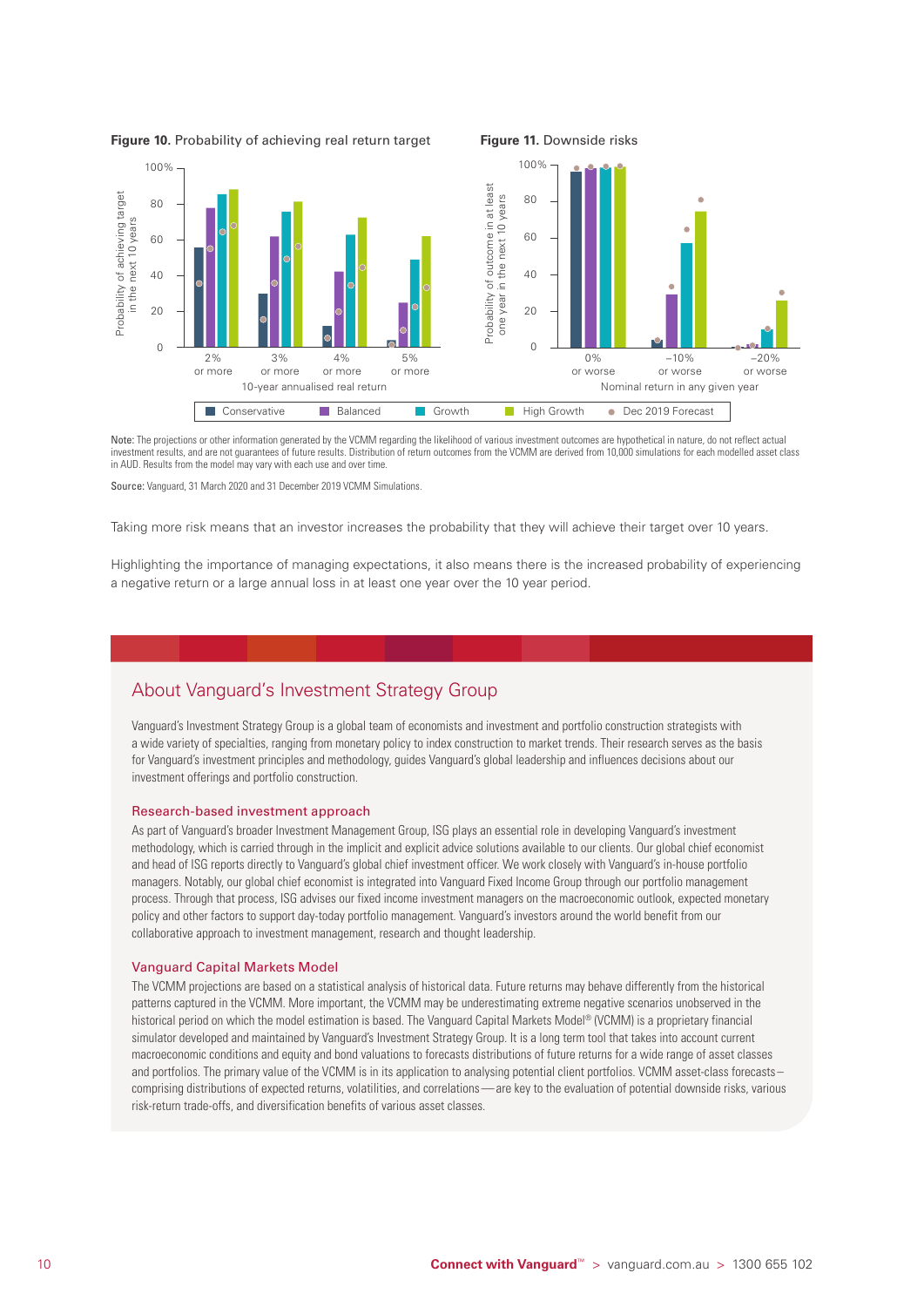

Note: The projections or other information generated by the VCMM regarding the likelihood of various investment outcomes are hypothetical in nature, do not reflect actual investment results, and are not guarantees of future results. Distribution of return outcomes from the VCMM are derived from 10,000 simulations for each modelled asset class in AUD. Results from the model may vary with each use and over time.

Source: Vanguard, 31 March 2020 and 31 December 2019 VCMM Simulations.

Taking more risk means that an investor increases the probability that they will achieve their target over 10 years.

Highlighting the importance of managing expectations, it also means there is the increased probability of experiencing a negative return or a large annual loss in at least one year over the 10 year period.

### About Vanguard's Investment Strategy Group

Vanguard's Investment Strategy Group is a global team of economists and investment and portfolio construction strategists with a wide variety of specialties, ranging from monetary policy to index construction to market trends. Their research serves as the basis for Vanguard's investment principles and methodology, guides Vanguard's global leadership and influences decisions about our investment offerings and portfolio construction.

#### Research-based investment approach

As part of Vanguard's broader Investment Management Group, ISG plays an essential role in developing Vanguard's investment methodology, which is carried through in the implicit and explicit advice solutions available to our clients. Our global chief economist and head of ISG reports directly to Vanguard's global chief investment officer. We work closely with Vanguard's in-house portfolio managers. Notably, our global chief economist is integrated into Vanguard Fixed Income Group through our portfolio management process. Through that process, ISG advises our fixed income investment managers on the macroeconomic outlook, expected monetary policy and other factors to support day-today portfolio management. Vanguard's investors around the world benefit from our collaborative approach to investment management, research and thought leadership.

#### Vanguard Capital Markets Model

The VCMM projections are based on a statistical analysis of historical data. Future returns may behave differently from the historical patterns captured in the VCMM. More important, the VCMM may be underestimating extreme negative scenarios unobserved in the historical period on which the model estimation is based. The Vanguard Capital Markets Model® (VCMM) is a proprietary financial simulator developed and maintained by Vanguard's Investment Strategy Group. It is a long term tool that takes into account current macroeconomic conditions and equity and bond valuations to forecasts distributions of future returns for a wide range of asset classes and portfolios. The primary value of the VCMM is in its application to analysing potential client portfolios. VCMM asset-class forecasts– comprising distributions of expected returns, volatilities, and correlations—are key to the evaluation of potential downside risks, various risk-return trade-offs, and diversification benefits of various asset classes.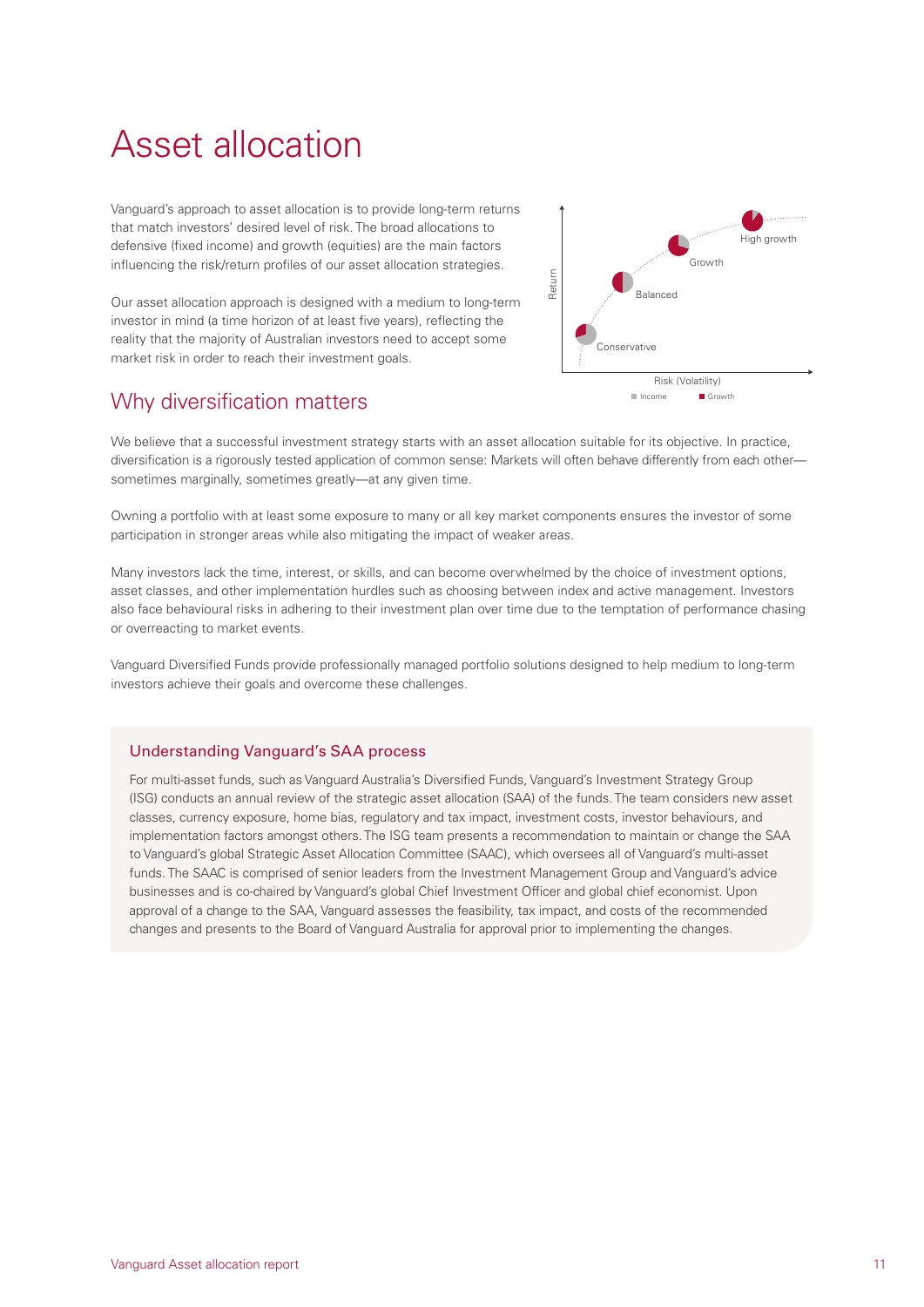## <span id="page-12-0"></span>Asset allocation

Vanguard's approach to asset allocation is to provide long-term returns that match investors' desired level of risk. The broad allocations to defensive (fixed income) and growth (equities) are the main factors influencing the risk/return profiles of our asset allocation strategies.

Our asset allocation approach is designed with a medium to long-term investor in mind (a time horizon of at least five years), reflecting the reality that the majority of Australian investors need to accept some market risk in order to reach their investment goals.

### Why diversification matters



We believe that a successful investment strategy starts with an asset allocation suitable for its objective. In practice, diversification is a rigorously tested application of common sense: Markets will often behave differently from each other sometimes marginally, sometimes greatly—at any given time.

Owning a portfolio with at least some exposure to many or all key market components ensures the investor of some participation in stronger areas while also mitigating the impact of weaker areas.

Many investors lack the time, interest, or skills, and can become overwhelmed by the choice of investment options, asset classes, and other implementation hurdles such as choosing between index and active management. Investors also face behavioural risks in adhering to their investment plan over time due to the temptation of performance chasing or overreacting to market events.

Vanguard Diversified Funds provide professionally managed portfolio solutions designed to help medium to long-term investors achieve their goals and overcome these challenges.

### Understanding Vanguard's SAA process

For multi-asset funds, such as Vanguard Australia's Diversified Funds, Vanguard's Investment Strategy Group (ISG) conducts an annual review of the strategic asset allocation (SAA) of the funds. The team considers new asset classes, currency exposure, home bias, regulatory and tax impact, investment costs, investor behaviours, and implementation factors amongst others. The ISG team presents a recommendation to maintain or change the SAA to Vanguard's global Strategic Asset Allocation Committee (SAAC), which oversees all of Vanguard's multi-asset funds. The SAAC is comprised of senior leaders from the Investment Management Group and Vanguard's advice businesses and is co-chaired by Vanguard's global Chief Investment Officer and global chief economist. Upon approval of a change to the SAA, Vanguard assesses the feasibility, tax impact, and costs of the recommended changes and presents to the Board of Vanguard Australia for approval prior to implementing the changes.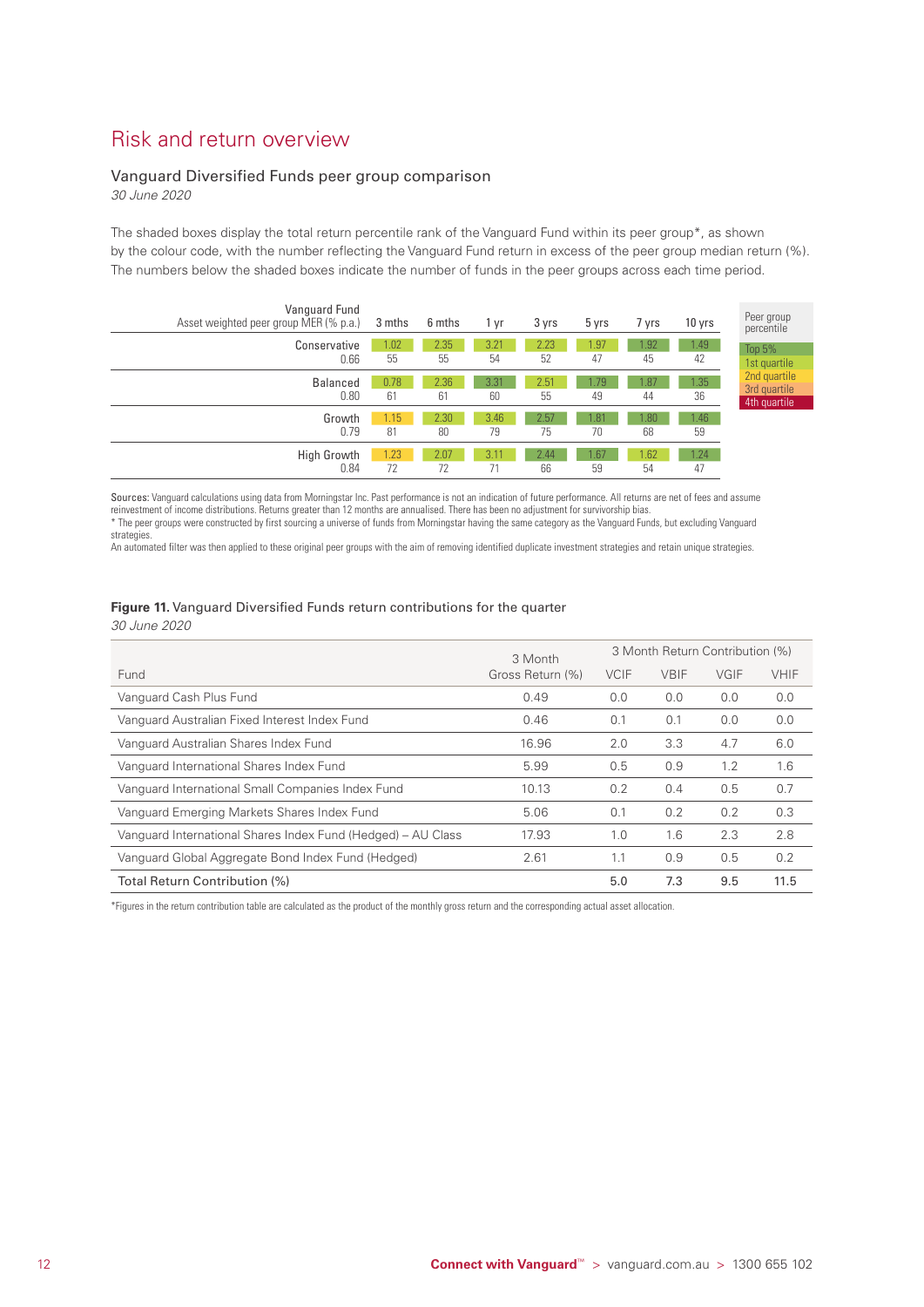### Risk and return overview

### Vanguard Diversified Funds peer group comparison

*30 June 2020*

The shaded boxes display the total return percentile rank of the Vanguard Fund within its peer group\*, as shown by the colour code, with the number reflecting the Vanguard Fund return in excess of the peer group median return (%). The numbers below the shaded boxes indicate the number of funds in the peer groups across each time period.

| Vanguard Fund<br>Asset weighted peer group MER (% p.a.) | 3 mths     | 6 mths     | 1 yr       | 3 yrs      | 5 yrs      | 7 yrs     | 10 yrs     | Peer group<br>percentile                     |
|---------------------------------------------------------|------------|------------|------------|------------|------------|-----------|------------|----------------------------------------------|
| Conservative<br>0.66                                    | .02<br>55  | 2.35<br>55 | 3.21<br>54 | 2.23<br>52 | 1.97<br>47 | .92<br>45 | 1.49<br>42 | Top $5%$<br>1st quartile                     |
| <b>Balanced</b><br>0.80                                 | 0.78<br>61 | 2.36<br>61 | 3.31<br>60 | 2.51<br>55 | 1.79<br>49 | .87<br>44 | 1.35<br>36 | 2nd quartile<br>3rd quartile<br>4th quartile |
| Growth<br>0.79                                          | 1.15<br>81 | 2.30<br>80 | 3.46<br>79 | 2.57<br>75 | 1.81<br>70 | .80<br>68 | 1.46<br>59 |                                              |
| <b>High Growth</b><br>0.84                              | 1.23<br>72 | 2.07<br>72 | 3.11       | 2.44<br>66 | 1.67<br>59 | .62<br>54 | 1.24<br>47 |                                              |

Sources: Vanguard calculations using data from Morningstar Inc. Past performance is not an indication of future performance. All returns are net of fees and assume reinvestment of income distributions. Returns greater than 12 months are annualised. There has been no adjustment for survivorship bias. \* The peer groups were constructed by first sourcing a universe of funds from Morningstar having the same category as the Vanguard Funds, but excluding Vanguard strategies.

An automated filter was then applied to these original peer groups with the aim of removing identified duplicate investment strategies and retain unique strategies.

### **Figure 11.** Vanguard Diversified Funds return contributions for the quarter

*30 June 2020*

|                                                              | 3 Month          | 3 Month Return Contribution (%) |             |      |             |  |
|--------------------------------------------------------------|------------------|---------------------------------|-------------|------|-------------|--|
| Fund                                                         | Gross Return (%) | <b>VCIF</b>                     | <b>VBIF</b> | VGIF | <b>VHIF</b> |  |
| Vanguard Cash Plus Fund                                      | 0.49             | 0.0                             | 0.0         | 0.0  | 0.0         |  |
| Vanguard Australian Fixed Interest Index Fund                | 0.46             | 0.1                             | 0.1         | 0.0  | 0.0         |  |
| Vanguard Australian Shares Index Fund                        | 16.96            | 2.0                             | 3.3         | 4.7  | 6.0         |  |
| Vanguard International Shares Index Fund                     | 5.99             | 0.5                             | 0.9         | 1.2  | 1.6         |  |
| Vanguard International Small Companies Index Fund            | 10.13            | 0.2                             | 0.4         | 0.5  | 0.7         |  |
| Vanguard Emerging Markets Shares Index Fund                  | 5.06             | 0.1                             | 0.2         | 0.2  | 0.3         |  |
| Vanguard International Shares Index Fund (Hedged) – AU Class | 17.93            | 1.0                             | 1.6         | 2.3  | 2.8         |  |
| Vanguard Global Aggregate Bond Index Fund (Hedged)           | 2.61             | 1.1                             | 0.9         | 0.5  | 0.2         |  |
| Total Return Contribution (%)                                |                  | 5.0                             | 7.3         | 9.5  | 11.5        |  |

\*Figures in the return contribution table are calculated as the product of the monthly gross return and the corresponding actual asset allocation.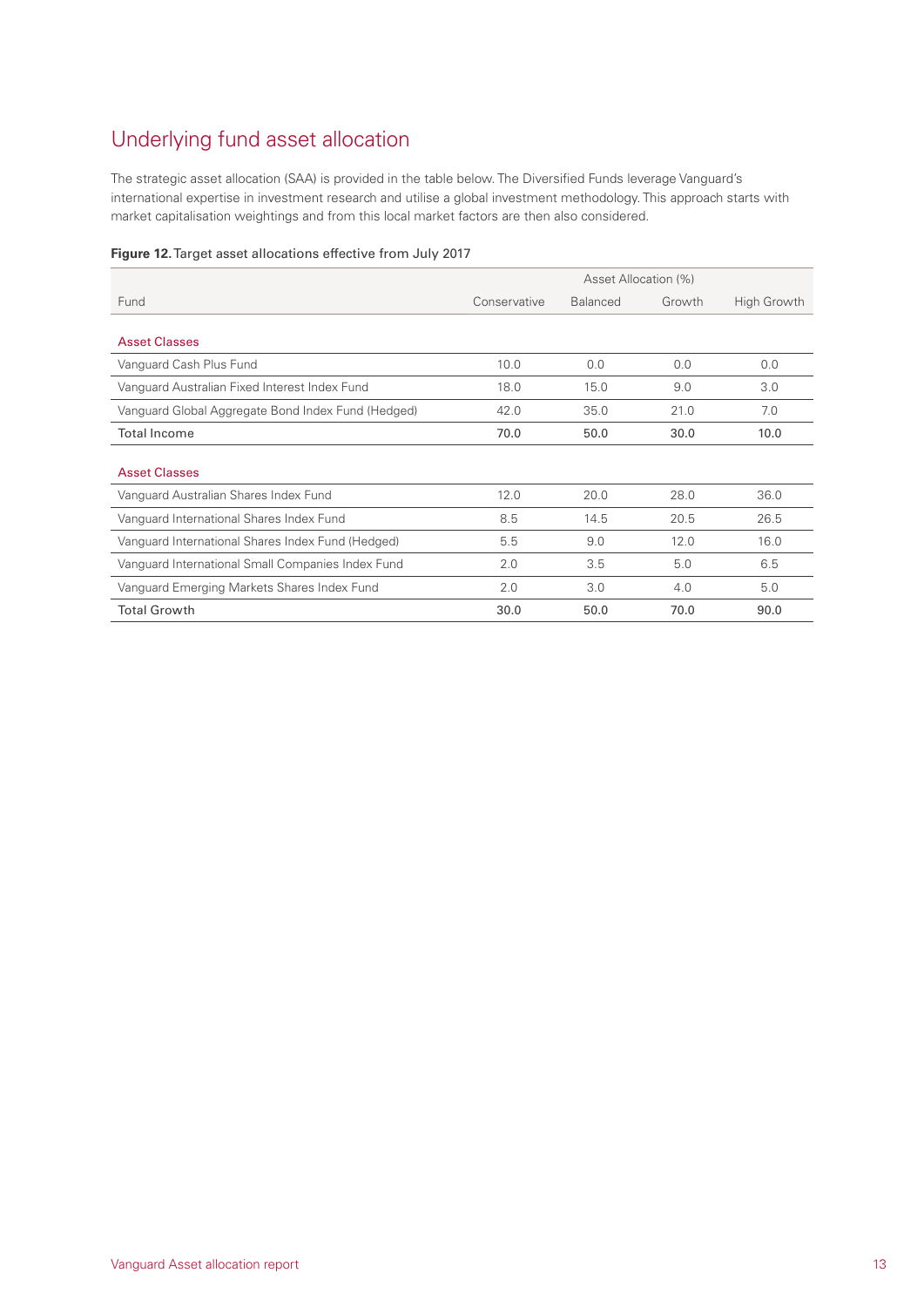## Underlying fund asset allocation

The strategic asset allocation (SAA) is provided in the table below. The Diversified Funds leverage Vanguard's international expertise in investment research and utilise a global investment methodology. This approach starts with market capitalisation weightings and from this local market factors are then also considered.

|  |  | Figure 12. Target asset allocations effective from July 2017 |  |  |
|--|--|--------------------------------------------------------------|--|--|
|  |  |                                                              |  |  |

|                                                    | Asset Allocation (%) |                 |        |             |  |
|----------------------------------------------------|----------------------|-----------------|--------|-------------|--|
| Fund                                               | Conservative         | <b>Balanced</b> | Growth | High Growth |  |
| <b>Asset Classes</b>                               |                      |                 |        |             |  |
| Vanguard Cash Plus Fund                            | 10.0                 | 0.0             | 0.0    | 0.0         |  |
| Vanguard Australian Fixed Interest Index Fund      | 18.0                 | 15.0            | 9.0    | 3.0         |  |
| Vanguard Global Aggregate Bond Index Fund (Hedged) | 42.0                 | 35.0            | 21.0   | 7.0         |  |
| <b>Total Income</b>                                | 70.0                 | 50.0            | 30.0   | 10.0        |  |
| <b>Asset Classes</b>                               |                      |                 |        |             |  |
| Vanguard Australian Shares Index Fund              | 12.0                 | 20.0            | 28.0   | 36.0        |  |
| Vanguard International Shares Index Fund           | 8.5                  | 14.5            | 20.5   | 26.5        |  |
| Vanguard International Shares Index Fund (Hedged)  | 5.5                  | 9.0             | 12.0   | 16.0        |  |
| Vanguard International Small Companies Index Fund  | 2.0                  | 3.5             | 5.0    | 6.5         |  |
| Vanguard Emerging Markets Shares Index Fund        | 2.0                  | 3.0             | 4.0    | 5.0         |  |
| <b>Total Growth</b>                                | 30.0                 | 50.0            | 70.0   | 90.0        |  |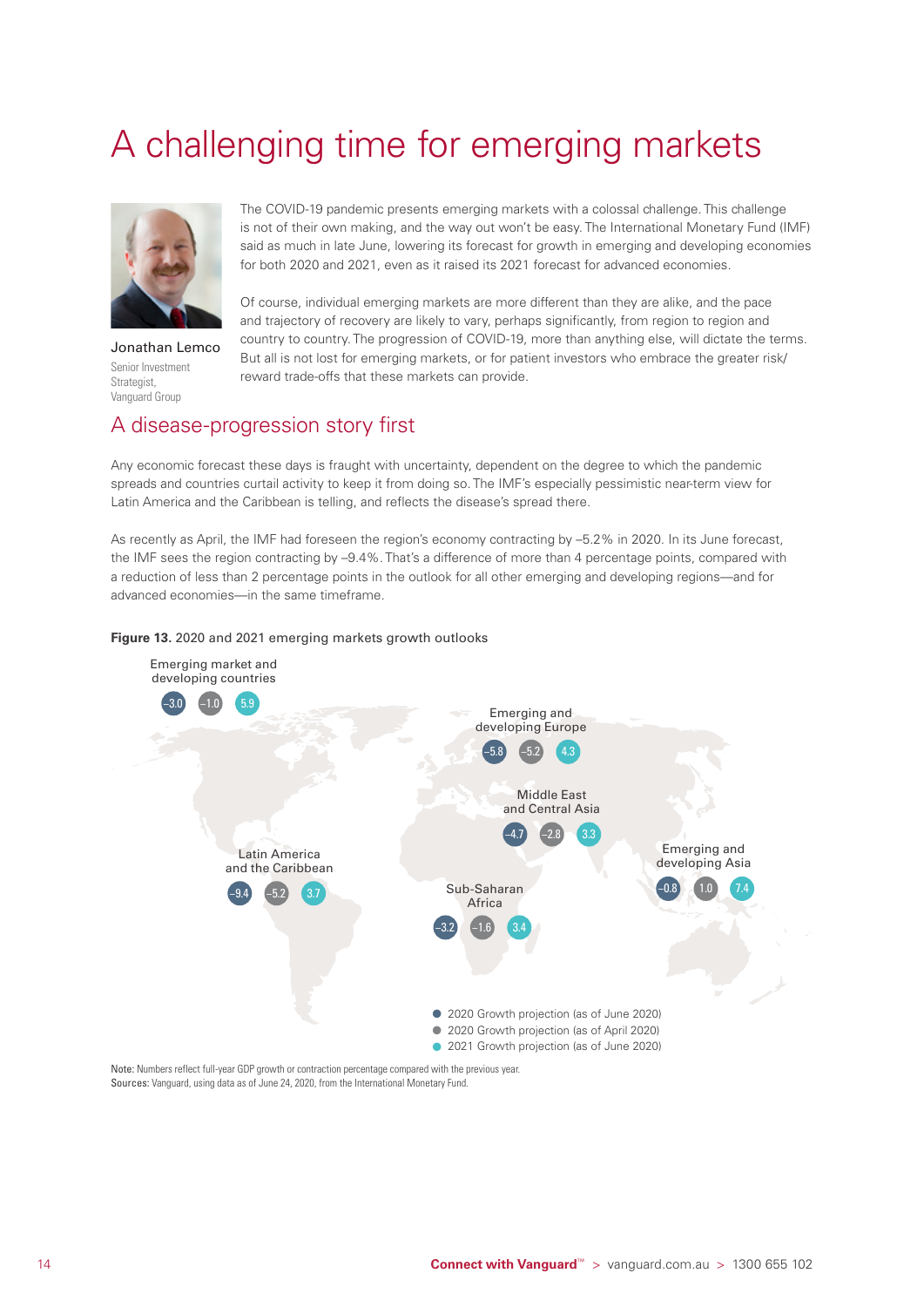# <span id="page-15-0"></span>A challenging time for emerging markets



Jonathan Lemco Senior Investment Strategist, Vanguard Group

The COVID-19 pandemic presents emerging markets with a colossal challenge. This challenge is not of their own making, and the way out won't be easy. The International Monetary Fund (IMF) said as much in late June, lowering its forecast for growth in emerging and developing economies for both 2020 and 2021, even as it raised its 2021 forecast for advanced economies.

Of course, individual emerging markets are more different than they are alike, and the pace and trajectory of recovery are likely to vary, perhaps significantly, from region to region and country to country. The progression of COVID-19, more than anything else, will dictate the terms. But all is not lost for emerging markets, or for patient investors who embrace the greater risk/ reward trade-offs that these markets can provide.

## A disease-progression story first

Any economic forecast these days is fraught with uncertainty, dependent on the degree to which the pandemic spreads and countries curtail activity to keep it from doing so. The IMF's especially pessimistic near-term view for Latin America and the Caribbean is telling, and reflects the disease's spread there.

As recently as April, the IMF had foreseen the region's economy contracting by –5.2% in 2020. In its June forecast, the IMF sees the region contracting by –9.4%. That's a difference of more than 4 percentage points, compared with a reduction of less than 2 percentage points in the outlook for all other emerging and developing regions—and for advanced economies—in the same timeframe.

#### **Figure 13.** 2020 and 2021 emerging markets growth outlooks



Note: Numbers reflect full-year GDP growth or contraction percentage compared with the previous year. Sources: Vanguard, using data as of June 24, 2020, from the International Monetary Fund.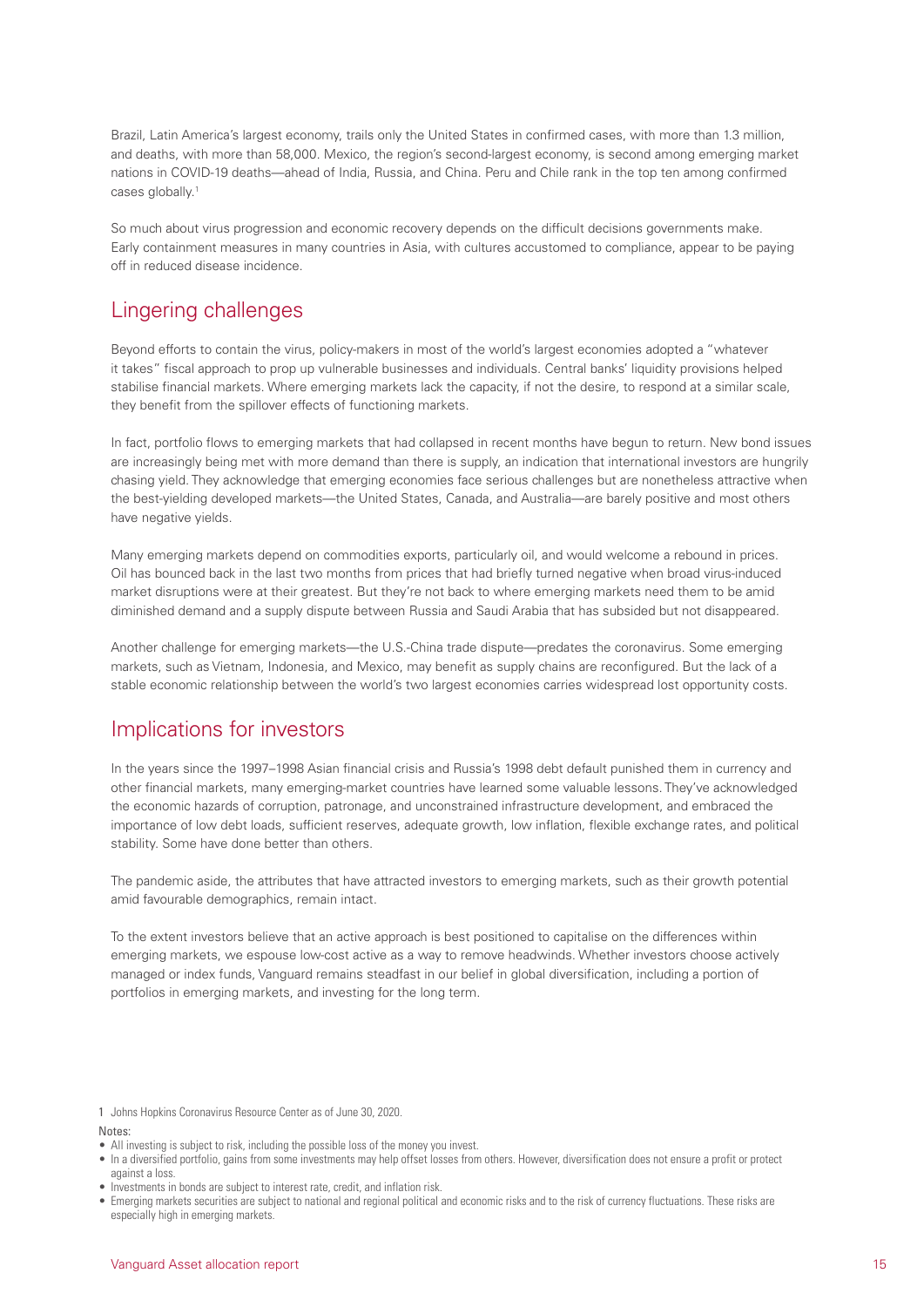Brazil, Latin America's largest economy, trails only the United States in confirmed cases, with more than 1.3 million, and deaths, with more than 58,000. Mexico, the region's second-largest economy, is second among emerging market nations in COVID-19 deaths—ahead of India, Russia, and China. Peru and Chile rank in the top ten among confirmed cases globally.1

So much about virus progression and economic recovery depends on the difficult decisions governments make. Early containment measures in many countries in Asia, with cultures accustomed to compliance, appear to be paying off in reduced disease incidence.

## Lingering challenges

Beyond efforts to contain the virus, policy-makers in most of the world's largest economies adopted a "whatever it takes" fiscal approach to prop up vulnerable businesses and individuals. Central banks' liquidity provisions helped stabilise financial markets. Where emerging markets lack the capacity, if not the desire, to respond at a similar scale, they benefit from the spillover effects of functioning markets.

In fact, portfolio flows to emerging markets that had collapsed in recent months have begun to return. New bond issues are increasingly being met with more demand than there is supply, an indication that international investors are hungrily chasing yield. They acknowledge that emerging economies face serious challenges but are nonetheless attractive when the best-yielding developed markets—the United States, Canada, and Australia—are barely positive and most others have negative yields.

Many emerging markets depend on commodities exports, particularly oil, and would welcome a rebound in prices. Oil has bounced back in the last two months from prices that had briefly turned negative when broad virus-induced market disruptions were at their greatest. But they're not back to where emerging markets need them to be amid diminished demand and a supply dispute between Russia and Saudi Arabia that has subsided but not disappeared.

Another challenge for emerging markets—the U.S.-China trade dispute—predates the coronavirus. Some emerging markets, such as Vietnam, Indonesia, and Mexico, may benefit as supply chains are reconfigured. But the lack of a stable economic relationship between the world's two largest economies carries widespread lost opportunity costs.

### Implications for investors

In the years since the 1997–1998 Asian financial crisis and Russia's 1998 debt default punished them in currency and other financial markets, many emerging-market countries have learned some valuable lessons. They've acknowledged the economic hazards of corruption, patronage, and unconstrained infrastructure development, and embraced the importance of low debt loads, sufficient reserves, adequate growth, low inflation, flexible exchange rates, and political stability. Some have done better than others.

The pandemic aside, the attributes that have attracted investors to emerging markets, such as their growth potential amid favourable demographics, remain intact.

To the extent investors believe that an active approach is best positioned to capitalise on the differences within emerging markets, we espouse low-cost active as a way to remove headwinds. Whether investors choose actively managed or index funds, Vanguard remains steadfast in our belief in global diversification, including a portion of portfolios in emerging markets, and investing for the long term.

1 Johns Hopkins Coronavirus Resource Center as of June 30, 2020.

### Notes:

- All investing is subject to risk, including the possible loss of the money you invest.
- In a diversified portfolio, gains from some investments may help offset losses from others. However, diversification does not ensure a profit or protect against a loss.
- Investments in bonds are subject to interest rate, credit, and inflation risk.
- Emerging markets securities are subject to national and regional political and economic risks and to the risk of currency fluctuations. These risks are especially high in emerging markets.